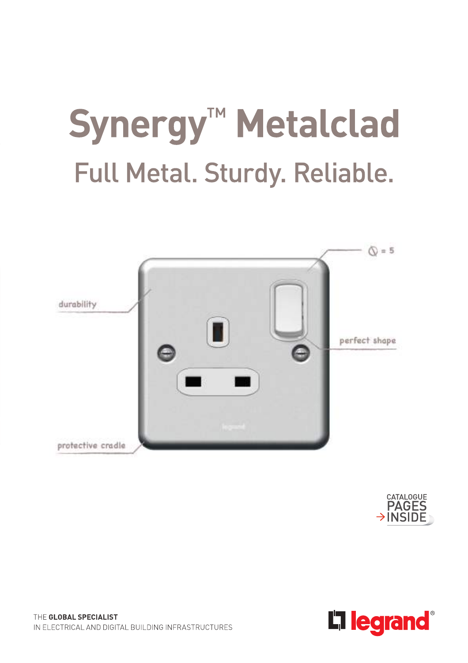# Synergy<sup>™</sup> Metalclad Full Metal. Sturdy. Reliable.





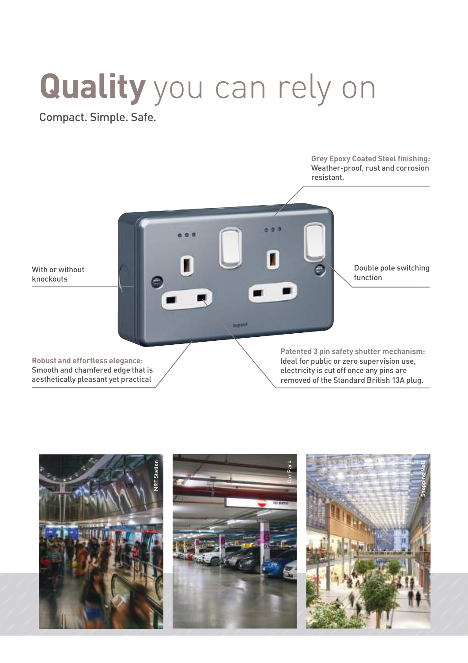## **Quality** you can rely on

Compact. Simple. Safe.



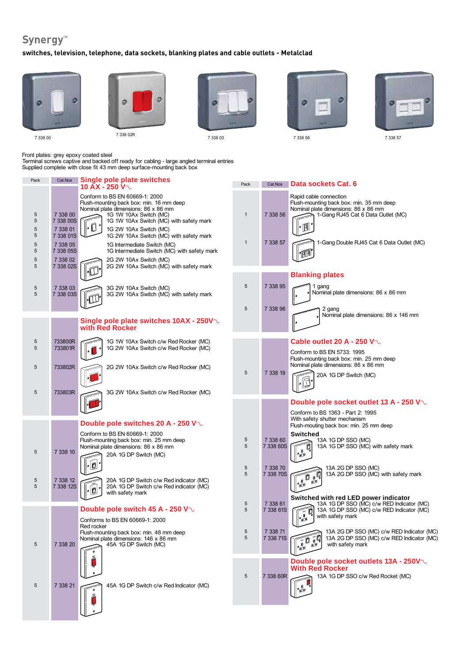### Synergy<sup>™</sup>

#### **switches, television, telephone, data sockets, blanking plates and cable outlets - Metalclad**



Front plates: grey epoxy coated steel

Terminal screws captive and backed off ready for cabling - large angled terminal entries Supplied complete with close fit 43 mm deep surface-mounting back box

| Pack                       |                                                                         | Cat.Nos Single pole plate switches<br>10 $\overline{AX}$ - 250 $V \sim$                                                                                                                                                                                                                                                                                                   | Pack                         | Cat.Nos               | Data sockets Cat. 6                                                                                                                                                                                                                                                                                                                                                                  |
|----------------------------|-------------------------------------------------------------------------|---------------------------------------------------------------------------------------------------------------------------------------------------------------------------------------------------------------------------------------------------------------------------------------------------------------------------------------------------------------------------|------------------------------|-----------------------|--------------------------------------------------------------------------------------------------------------------------------------------------------------------------------------------------------------------------------------------------------------------------------------------------------------------------------------------------------------------------------------|
| 5<br>5<br>5<br>5<br>5<br>5 | 7 338 00<br>7 338 00S<br>7 338 01<br>7 338 01S<br>7 338 05<br>7 338 05S | Conform to BS EN 60669-1: 2000<br>Flush-mounting back box: min. 16 mm deep<br>Nominal plate dimensions: 86 x 86 mm<br>1G 1W 10Ax Switch (MC)<br>1G 1W 10Ax Switch (MC) with safety mark<br>$\ \circ \bigcirc\, \circ$<br>1G 2W 10Ax Switch (MC)<br>1G 2W 10Ax Switch (MC) with safety mark<br>1G Intermediate Switch (MC)<br>1G Intermediate Switch (MC) with safety mark | $\mathbf{1}$<br>$\mathbf{1}$ | 7 338 56<br>7 338 57  | Rapid cable connection<br>Flush-mounting back box: min. 35 mm deep<br>Nominal plate dimensions: 86 x 86 mm<br>1-Gang RJ45 Cat 6 Data Outlet (MC)<br>${}^{\circ}\widehat{}$<br>1-Gang Double RJ45 Cat 6 Data Outlet (MC)<br>$\mathbb{F}$                                                                                                                                              |
| 5<br>5                     | 7 338 02<br>7 338 02S                                                   | 2G 2W 10Ax Switch (MC)<br>2G 2W 10Ax Switch (MC) with safety mark                                                                                                                                                                                                                                                                                                         |                              |                       |                                                                                                                                                                                                                                                                                                                                                                                      |
|                            |                                                                         |                                                                                                                                                                                                                                                                                                                                                                           |                              |                       | <b>Blanking plates</b>                                                                                                                                                                                                                                                                                                                                                               |
| 5<br>5                     | 7 338 03<br>7 338 03S                                                   | 3G 2W 10Ax Switch (MC)<br>3G 2W 10Ax Switch (MC) with safety mark                                                                                                                                                                                                                                                                                                         | 5                            | 7 338 95              | 1 gang<br>Nominal plate dimensions: 86 x 86 mm                                                                                                                                                                                                                                                                                                                                       |
|                            |                                                                         | Single pole plate switches 10AX - 250V $\sim$<br>with Red Rocker                                                                                                                                                                                                                                                                                                          | 5                            | 7 338 96              | 2 gang<br>Nominal plate dimensions: 86 x 146 mm                                                                                                                                                                                                                                                                                                                                      |
| 5<br>5                     | 733800R<br>733801R                                                      | 1G 1W 10Ax Switch c/w Red Rocker (MC)<br>1G 2W 10Ax Switch c/w Red Rocker (MC)                                                                                                                                                                                                                                                                                            |                              |                       | Cable outlet 20 A - 250 V $\sim$<br>Conform to BS EN 5733: 1995<br>Flush-mounting back box: min. 25 mm deep                                                                                                                                                                                                                                                                          |
| 5                          | 733802R                                                                 | 2G 2W 10Ax Switch c/w Red Rocker (MC)                                                                                                                                                                                                                                                                                                                                     | 5                            | 7 338 19              | Nominal plate dimensions: 86 x 86 mm<br>20A 1G DP Switch (MC)                                                                                                                                                                                                                                                                                                                        |
| 5                          | 733803R                                                                 | 3G 2W 10Ax Switch c/w Red Rocker (MC)                                                                                                                                                                                                                                                                                                                                     |                              |                       | Double pole socket outlet 13 A - 250 V $\circ$                                                                                                                                                                                                                                                                                                                                       |
|                            |                                                                         | Double pole switches 20 A - 250 V $\sim$                                                                                                                                                                                                                                                                                                                                  |                              |                       | Conform to BS 1363 - Part 2: 1995<br>With safety shutter mechanism                                                                                                                                                                                                                                                                                                                   |
| 5                          | 7 338 10                                                                | Conform to BS EN 60669-1: 2000<br>Flush-mounting back box: min. 25 mm deep<br>Nominal plate dimensions: 86 x 86 mm<br>20A 1G DP Switch (MC)                                                                                                                                                                                                                               | 5<br>5                       | 7 338 60<br>7 338 60S | Flush-mouting back box: min. 25 mm deep<br><b>Switched</b><br>13A 1G DP SSO (MC)<br>13A 1G DP SSO (MC) with safety mark<br>0<br>ė                                                                                                                                                                                                                                                    |
|                            |                                                                         | $\cdot$ 0                                                                                                                                                                                                                                                                                                                                                                 | $\sqrt{5}$                   | 7 338 70              | 13A 2G DP SSO (MC)                                                                                                                                                                                                                                                                                                                                                                   |
| 5<br>5                     | 7 338 12<br>7 338 12S                                                   | 20A 1G DP Switch c/w Red indicator (MC)<br>20A 1G DP Switch c/w Red indicator (MC)<br>$\cdot$ 0                                                                                                                                                                                                                                                                           | 5                            | 7 338 70S             | 13A 2G DP SSO (MC) with safety mark<br>$\begin{picture}(20,20) \put(0,0){\line(1,0){155}} \put(15,0){\line(1,0){155}} \put(15,0){\line(1,0){155}} \put(15,0){\line(1,0){155}} \put(15,0){\line(1,0){155}} \put(15,0){\line(1,0){155}} \put(15,0){\line(1,0){155}} \put(15,0){\line(1,0){155}} \put(15,0){\line(1,0){155}} \put(15,0){\line(1,0){155}} \put(15,0){\line(1,0){155}} \$ |
|                            |                                                                         | with safety mark<br>Double pole switch 45 A - 250 V $\sim$<br>Conforms to BS EN 60669-1: 2000                                                                                                                                                                                                                                                                             | 5<br>5                       | 7 338 61<br>7 338 61S | Switched with red LED power indicator<br>13A 1G DP SSO (MC) c/w RED Indicator (MC)<br>13A 1G DP SSO (MC) c/w RED Indicator (MC)<br>$\overline{\mathcal{E}}$<br>with safety mark                                                                                                                                                                                                      |
|                            |                                                                         | Red rocker<br>Flush-mounting back box: min. 48 mm deep<br>Nominal plate dimensions: 146 x 86 mm                                                                                                                                                                                                                                                                           | $\sqrt{5}$<br>5              | 7 338 71<br>7 338 71S | 13A 2G DP SSO (MC) c/w RED Indicator (MC)<br>Fo TQ<br>13A 2G DP SSO (MC) c/w RED Indicator (MC)                                                                                                                                                                                                                                                                                      |
| 5                          | 7 338 20                                                                | 45A 1G DP Switch (MC)                                                                                                                                                                                                                                                                                                                                                     | 5                            | 7 338 60R             | with safety mark<br>قع<br>$\mathbf{P}$<br>Double pole socket outlets 13A - 250V $\sim$<br><b>With Red Rocker</b><br>13A 1G DP SSO c/w Red Rocket (MC)                                                                                                                                                                                                                                |
| 5                          | 7 338 21                                                                | 45A 1G DP Switch c/w Red Indicator (MC)                                                                                                                                                                                                                                                                                                                                   |                              |                       |                                                                                                                                                                                                                                                                                                                                                                                      |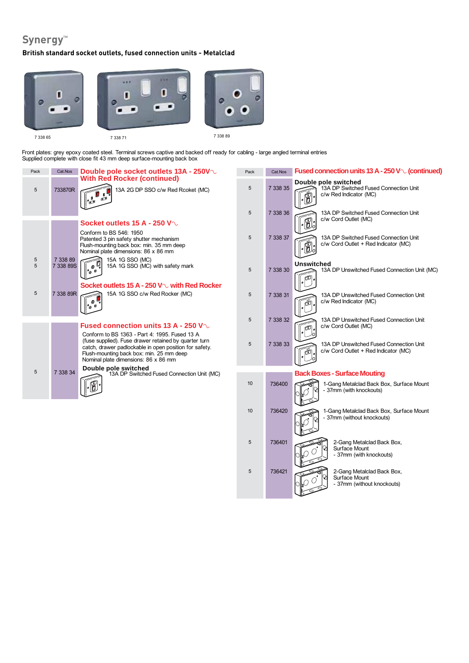## Synergy<sup>™</sup>

#### **British standard socket outlets, fused connection units - Metalclad**



Front plates: grey epoxy coated steel. Terminal screws captive and backed off ready for cabling - large angled terminal entries Supplied complete with close fit 43 mm deep surface-mounting back box

| Pack   | Cat.Nos               | Double pole socket outlets 13A - 250V $\sim$                                                                                                                                                        | Pack | Cat.Nos  | Fused connection units 13 A - 250 V $\sim$ (continued)                                  |
|--------|-----------------------|-----------------------------------------------------------------------------------------------------------------------------------------------------------------------------------------------------|------|----------|-----------------------------------------------------------------------------------------|
| 5      | 733870R               | <b>With Red Rocker (continued)</b><br>13A 2G DP SSO c/w Red Rcoket (MC)<br>$\mathbf{0}$ , $\mathbf{Q}$<br>" مع<br>ہ                                                                                 | 5    | 7 338 35 | Double pole switched<br>13A DP Switched Fused Connection Unit<br>c/w Red Indicator (MC) |
|        |                       |                                                                                                                                                                                                     | 5    | 7 338 36 | 13A DP Switched Fused Connection Unit<br>c/w Cord Outlet (MC)                           |
|        |                       | Socket outlets 15 A - 250 V $\sim$<br>Conform to BS 546: 1950                                                                                                                                       |      |          | -6                                                                                      |
|        |                       | Patented 3 pin safety shutter mechanism<br>Flush-mounting back box: min. 35 mm deep<br>Nominal plate dimensions: 86 x 86 mm                                                                         | 5    | 7 338 37 | 13A DP Switched Fused Connection Unit<br>c/w Cord Outlet + Red Indicator (MC)           |
| 5<br>5 | 7 338 89<br>7 338 89S | 15A 1G SSO (MC)<br>15A 1G SSO (MC) with safety mark<br>Ø                                                                                                                                            | 5    | 7 338 30 | <b>Unswitched</b><br>13A DP Unswitched Fused Connection Unit (MC)<br>ه                  |
|        |                       | Socket outlets 15 A - 250 V $\sim$ with Red Rocker                                                                                                                                                  |      |          |                                                                                         |
| 5      | 7 338 89R             | 15A 1G SSO c/w Red Rocker (MC)<br>$\frac{1}{200}$                                                                                                                                                   | 5    | 7 338 31 | 13A DP Unswitched Fused Connection Unit<br>c/w Red Indicator (MC)                       |
|        |                       |                                                                                                                                                                                                     | 5    | 7 338 32 | 13A DP Unswitched Fused Connection Unit                                                 |
|        |                       | Fused connection units 13 A - 250 V $\sim$<br>Conform to BS 1363 - Part 4: 1995. Fused 13 A                                                                                                         |      |          | c/w Cord Outlet (MC)<br>ە                                                               |
|        |                       | (fuse supplied). Fuse drawer retained by quarter turn<br>catch, drawer padlockable in open position for safety.<br>Flush-mounting back box: min. 25 mm deep<br>Nominal plate dimensions: 86 x 86 mm | 5    | 7 338 33 | 13A DP Unswitched Fused Connection Unit<br>c/w Cord Outlet + Red Indicator (MC)<br>آق   |
| 5      | 7 338 34              | Double pole switched<br>13A DP Switched Fused Connection Unit (MC)                                                                                                                                  |      |          | <b>Back Boxes - Surface Mouting</b>                                                     |
|        |                       | Iñ                                                                                                                                                                                                  | 10   | 736400   | 1-Gang Metalclad Back Box, Surface Mount<br>- 37mm (with knockouts)                     |
|        |                       |                                                                                                                                                                                                     | 10   | 736420   | 1-Gang Metalclad Back Box, Surface Mount<br>37mm (without knockouts)                    |
|        |                       |                                                                                                                                                                                                     | 5    | 736401   | 2-Gang Metalclad Back Box,<br>Surface Mount<br>- 37mm (with knockouts)                  |

5 736421 2-Gang Metalclad Back Box,

Surface Mount

<sub>-</sub> 37mm (without knockouts)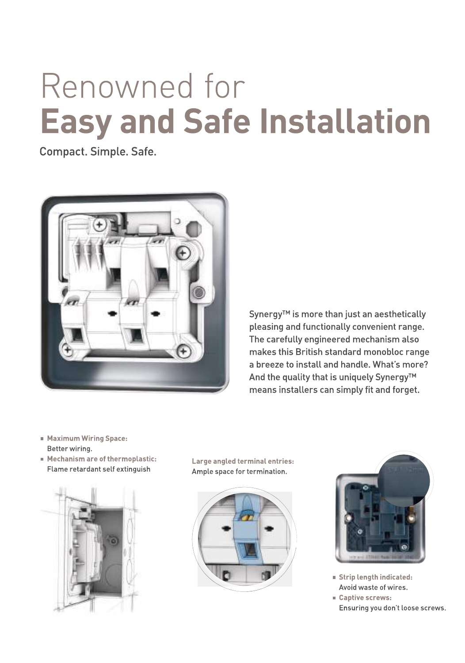## Renowned for **Easy and Safe Installation**

Compact. Simple. Safe.



Synergy<sup>™</sup> is more than just an aesthetically pleasing and functionally convenient range. The carefully engineered mechanism also makes this British standard monobloc range a breeze to install and handle. What's more? And the quality that is uniquely Synergy™ means installers can simply fit and forget.

- Maximum Wiring Space: Better wiring.
- Mechanism are of thermoplastic: Flame retardant self extinguish



Large angled terminal entries: Ample space for termination.





- Strip length indicated: Avoid waste of wires.
- Captive screws: Ensuring you don't loose screws.